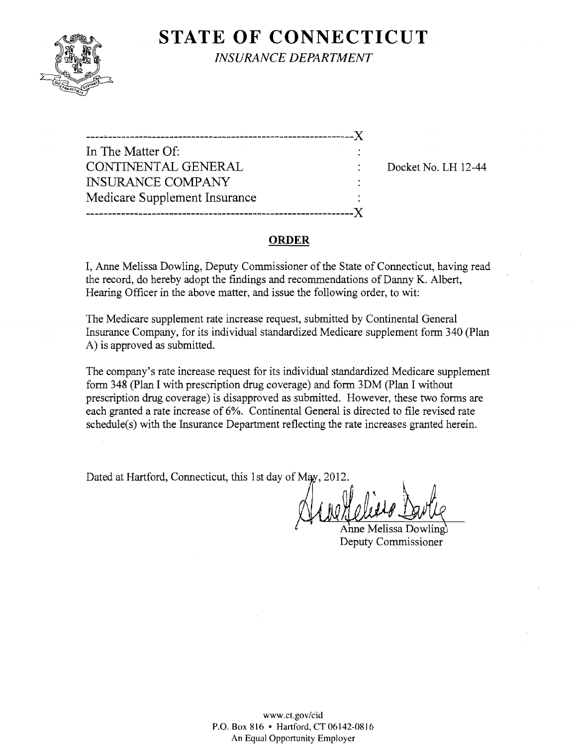

**STATE OF CONNECTICUT** *INSURANCE DEPARTMENT* 

In The Matter Of: CONTINENTAL GENERAL  $\qquad \qquad : \qquad$  Docket No. LH 12-44 INSURANCE COMPANY Medicare Supplement Insurance -------------------------------------------------------------)(

## **ORDER**

I, Anne Melissa Dowling, Deputy Commissioner of the State of Connecticut, having read the record, do hereby adopt the fmdings and recommendations of Danny K. Albert, Hearing Officer in the above matter, and issue the following order, to wit:

The Medicare supplement rate increase request, submitted by Continental General Insurance Company, for its individual standardized Medicare supplement form 340 (Plan A) is approved as submitted.

The company's rate increase request for its individual standardized Medicare supplement form 348 (plan I with prescription drug coverage) and form 3DM (plan I without prescription drug coverage) is disapproved as submitted. However, these two forms are each granted a rate increase of 6%. Continental General is directed to file revised rate schedule(s) with the Insurance Department reflecting the rate increases granted herein.

Dated at Hartford, Connecticut, this 1st day of May, 2012.

Anne Melissa Dowling Deputy Commissioner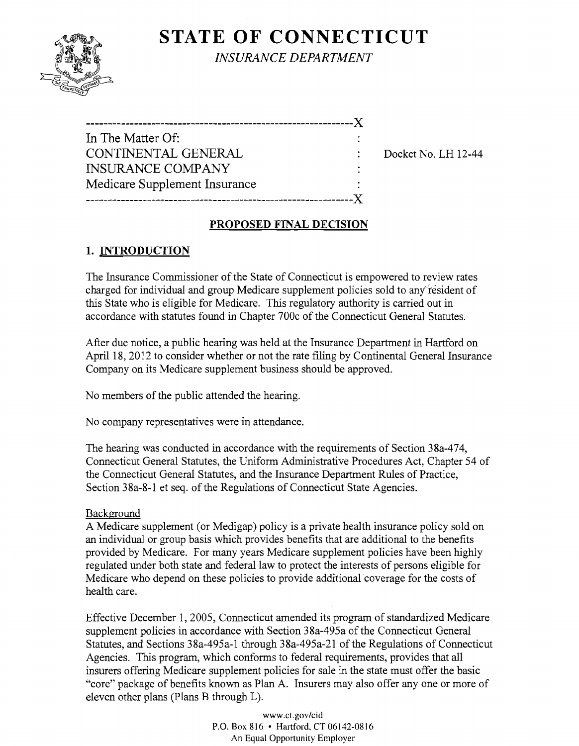# **STATE OF CONNECTICUT**



*INSURANCE DEPARTMENT* 

| In The Matter Of:             |  |
|-------------------------------|--|
| CONTINENTAL GENERAL           |  |
| <b>INSURANCE COMPANY</b>      |  |
| Medicare Supplement Insurance |  |
|                               |  |

Docket No. LH 12-44

# **PROPOSED FINAL DECISION**

# **1. INTRODUCTION**

The Insurance Commissioner of the State of Connecticut is empowered to review rates charged for individual and group Medicare supplement policies sold to anyresident of this State who is eligible for Medicare. This regulatory authority is carried out in accordance with statutes found in Chapter 700c of the Connecticut General Statutes.

After due notice, a public hearing was held at the Insurance Department in Hartford on April 18, 2012 to consider whether or not the rate filing by Continental General Insurance Company on its Medicare supplement business should be approved.

No members of the public attended the hearing.

No company representatives were in attendance.

The hearing was conducted in accordance with the requirements of Section 38a-474, Connecticut General Statutes, the Uniform Administrative Procedures Act, Chapter 54 of the Connecticut General Statutes, and the Insurance Department Rules of Practice, Section 38a-8-1 et seq. of the Regulations of Connecticut State Agencies.

## Background

A Medicare supplement (or Medigap) policy is a private health insurance policy sold on an individual or group basis which provides benefits that are additional to the benefits provided by Medicare. For many years Medicare supplement policies have been highly regulated under both state and federal law to protect the interests of persons eligible for Medicare who depend on these policies to provide additional coverage for the costs of health care.

Effective December 1,2005, Connecticut amended its program of standardized Medicare supplement policies in accordance with Section 38a-495a of the Connecticut General Statutes, and Sections 38a-495a-1 through 38a-495a-21 of the Regulations of Connecticut Agencies. This program, which conforms to federal requirements, provides that all insurers offering Medicare supplement policies for sale in the state must offer the basic "core" package of benefits known as Plan A. Insurers may also offer anyone or more of eleven other plans (plans B through L).

> www.ct.gov/cid P.O. Box 816 • Hartford, CT06142-0816 An Equal Opportunity Employer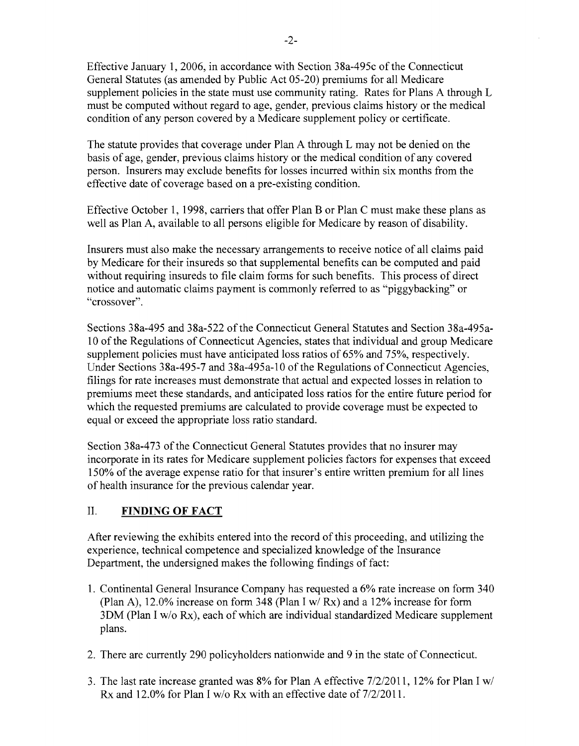Effective January 1,2006, in accordance with Section 38a-495c ofthe Connecticut General Statutes (as amended by Public Act 05-20) premiums for all Medicare supplement policies in the state must use community rating. Rates for Plans A through L must be computed without regard to age, gender, previous claims history or the medical condition of any person covered by a Medicare supplement policy or certificate.

The statute provides that coverage under Plan A through L may not be denied on the basis of age, gender, previous claims history or the medical condition of any covered person. Insurers may exclude benefits for losses incurred within six months from the effective date of coverage based on a pre-existing condition.

Effective October 1, 1998, carriers that offer Plan B or Plan C must make these plans as well as Plan A, available to all persons eligible for Medicare by reason of disability.

Insurers must also make the necessary arrangements to receive notice of all claims paid by Medicare for their insureds so that supplemental benefits can be computed and paid without requiring insureds to file claim forms for such benefits. This process of direct notice and automatic claims payment is commonly referred to as "piggybacking" or "crossover".

Sections 38a-495 and 38a-522 ofthe Connecticut General Statutes and Section 38a-495a-10 of the Regulations of Connecticut Agencies, states that individual and group Medicare supplement policies must have anticipated loss ratios of 65% and 75%, respectively. Under Sections 38a-495-7 and 38a-495a-10 of the Regulations of Connecticut Agencies, filings for rate increases must demonstrate that actual and expected losses in relation to premiums meet these standards, and anticipated loss ratios for the entire future period for which the requested premiums are calculated to provide coverage must be expected to equal or exceed the appropriate loss ratio standard.

Section 38a-473 of the Connecticut General Statutes provides that no insurer may incorporate in its rates for Medicare supplement policies factors for expenses that exceed 150% of the average expense ratio for that insurer's entire written premium for all lines of health insurance for the previous calendar year.

## II. **FINDING OF FACT**

After reviewing the exhibits entered into the record of this proceeding, and utilizing the experience, technical competence and specialized knowledge of the Insurance Department, the undersigned makes the following findings of fact:

- 1. Continental General Insurance Company has requested a 6% rate increase on form 340 (Plan A), 12.0% increase on form 348 (Plan I *wi* Rx) and a 12% increase for form 3DM (Plan I *wlo* Rx), each of which are individual standardized Medicare supplement plans.
- 2. There are currently 290 policyholders nationwide and 9 in the state of Connecticut.
- 3. The last rate increase granted was 8% for Plan A effective *7/2/2011,* 12% for Plan I *wi*  Rx and 12.0% for Plan I w/o Rx with an effective date of  $7/2/2011$ .